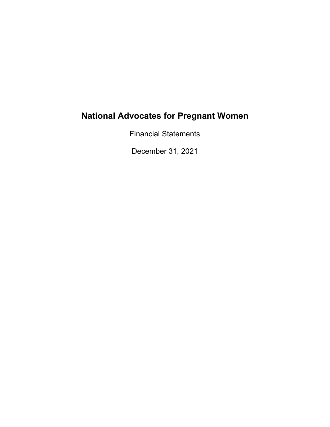Financial Statements

December 31, 2021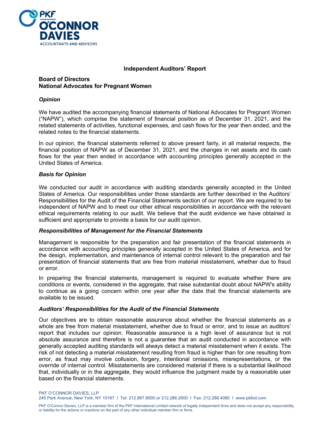

## **Independent Auditors' Report**

## **Board of Directors National Advocates for Pregnant Women**

## *Opinion*

We have audited the accompanying financial statements of National Advocates for Pregnant Women ("NAPW"), which comprise the statement of financial position as of December 31, 2021, and the related statements of activities, functional expenses, and cash flows for the year then ended, and the related notes to the financial statements.

In our opinion, the financial statements referred to above present fairly, in all material respects, the financial position of NAPW as of December 31, 2021, and the changes in net assets and its cash flows for the year then ended in accordance with accounting principles generally accepted in the United States of America.

#### *Basis for Opinion*

We conducted our audit in accordance with auditing standards generally accepted in the United States of America. Our responsibilities under those standards are further described in the Auditors' Responsibilities for the Audit of the Financial Statements section of our report. We are required to be independent of NAPW and to meet our other ethical responsibilities in accordance with the relevant ethical requirements relating to our audit. We believe that the audit evidence we have obtained is sufficient and appropriate to provide a basis for our audit opinion.

#### *Responsibilities of Management for the Financial Statements*

Management is responsible for the preparation and fair presentation of the financial statements in accordance with accounting principles generally accepted in the United States of America, and for the design, implementation, and maintenance of internal control relevant to the preparation and fair presentation of financial statements that are free from material misstatement, whether due to fraud or error.

In preparing the financial statements, management is required to evaluate whether there are conditions or events, considered in the aggregate, that raise substantial doubt about NAPW's ability to continue as a going concern within one year after the date that the financial statements are available to be issued.

#### *Auditors' Responsibilities for the Audit of the Financial Statements*

Our objectives are to obtain reasonable assurance about whether the financial statements as a whole are free from material misstatement, whether due to fraud or error, and to issue an auditors' report that includes our opinion. Reasonable assurance is a high level of assurance but is not absolute assurance and therefore is not a guarantee that an audit conducted in accordance with generally accepted auditing standards will always detect a material misstatement when it exists. The risk of not detecting a material misstatement resulting from fraud is higher than for one resulting from error, as fraud may involve collusion, forgery, intentional omissions, misrepresentations, or the override of internal control. Misstatements are considered material if there is a substantial likelihood that, individually or in the aggregate, they would influence the judgment made by a reasonable user based on the financial statements.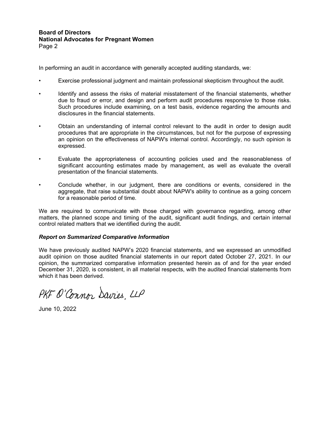#### **Board of Directors National Advocates for Pregnant Women**  Page 2

In performing an audit in accordance with generally accepted auditing standards, we:

- Exercise professional judgment and maintain professional skepticism throughout the audit.
- Identify and assess the risks of material misstatement of the financial statements, whether due to fraud or error, and design and perform audit procedures responsive to those risks. Such procedures include examining, on a test basis, evidence regarding the amounts and disclosures in the financial statements.
- Obtain an understanding of internal control relevant to the audit in order to design audit procedures that are appropriate in the circumstances, but not for the purpose of expressing an opinion on the effectiveness of NAPW's internal control. Accordingly, no such opinion is expressed.
- Evaluate the appropriateness of accounting policies used and the reasonableness of significant accounting estimates made by management, as well as evaluate the overall presentation of the financial statements.
- Conclude whether, in our judgment, there are conditions or events, considered in the aggregate, that raise substantial doubt about NAPW's ability to continue as a going concern for a reasonable period of time.

We are required to communicate with those charged with governance regarding, among other matters, the planned scope and timing of the audit, significant audit findings, and certain internal control related matters that we identified during the audit.

#### *Report on Summarized Comparative Information*

We have previously audited NAPW's 2020 financial statements, and we expressed an unmodified audit opinion on those audited financial statements in our report dated October 27, 2021. In our opinion, the summarized comparative information presented herein as of and for the year ended December 31, 2020, is consistent, in all material respects, with the audited financial statements from which it has been derived.

PKF O'Connor Savies LLP

June 10, 2022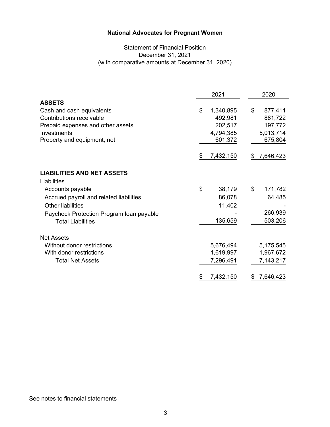# Statement of Financial Position December 31, 2021 (with comparative amounts at December 31, 2020)

|                                          | 2021            | 2020            |
|------------------------------------------|-----------------|-----------------|
| <b>ASSETS</b>                            |                 |                 |
| Cash and cash equivalents                | \$<br>1,340,895 | \$<br>877,411   |
| Contributions receivable                 | 492,981         | 881,722         |
| Prepaid expenses and other assets        | 202,517         | 197,772         |
| Investments                              | 4,794,385       | 5,013,714       |
| Property and equipment, net              | 601,372         | 675,804         |
|                                          | 7,432,150<br>S  | 7,646,423<br>£. |
| <b>LIABILITIES AND NET ASSETS</b>        |                 |                 |
| Liabilities                              |                 |                 |
| Accounts payable                         | \$<br>38,179    | \$<br>171,782   |
| Accrued payroll and related liabilities  | 86,078          | 64,485          |
| <b>Other liabilities</b>                 | 11,402          |                 |
| Paycheck Protection Program loan payable |                 | 266,939         |
| <b>Total Liabilities</b>                 | 135,659         | 503,206         |
| <b>Net Assets</b>                        |                 |                 |
| Without donor restrictions               | 5,676,494       | 5,175,545       |
| With donor restrictions                  | 1,619,997       | 1,967,672       |
| <b>Total Net Assets</b>                  | 7,296,491       | 7,143,217       |
|                                          | 7,432,150<br>\$ | 7,646,423<br>\$ |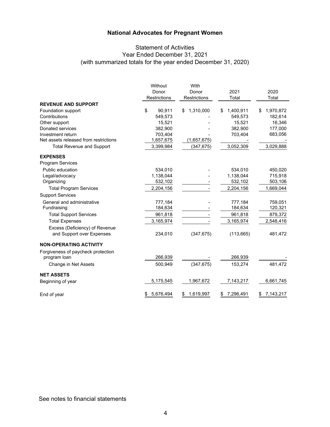# Statement of Activities Year Ended December 31, 2021 (with summarized totals for the year ended December 31, 2020)

|                                       | Without<br>Donor<br>Restrictions | With<br>Donor<br>Restrictions | 2021<br>Total   | 2020<br>Total   |
|---------------------------------------|----------------------------------|-------------------------------|-----------------|-----------------|
| <b>REVENUE AND SUPPORT</b>            |                                  |                               |                 |                 |
| Foundation support                    | \$<br>90.911                     | 1,310,000<br>\$               | 1,400,911<br>\$ | 1,970,872<br>S  |
| Contributions                         | 549,573                          |                               | 549,573         | 182,614         |
| Other support                         | 15,521                           |                               | 15,521          | 16,346          |
| Donated services                      | 382,900                          |                               | 382,900         | 177,000         |
| Investment return                     | 703,404                          |                               | 703,404         | 683,056         |
| Net assets released from restrictions | 1,657,675                        | (1,657,675)                   |                 |                 |
| <b>Total Revenue and Support</b>      | 3,399,984                        | (347,675)                     | 3,052,309       | 3,029,888       |
| <b>EXPENSES</b>                       |                                  |                               |                 |                 |
| <b>Program Services</b>               |                                  |                               |                 |                 |
| Public education                      | 534,010                          |                               | 534,010         | 450,020         |
| Legal/advocacy                        | 1,138,044                        |                               | 1,138,044       | 715,918         |
| Organizing                            | 532,102                          |                               | 532,102         | 503,106         |
| <b>Total Program Services</b>         | 2,204,156                        |                               | 2,204,156       | 1,669,044       |
| <b>Support Services</b>               |                                  |                               |                 |                 |
| General and administrative            | 777,184                          |                               | 777,184         | 759,051         |
| Fundraising                           | 184,634                          |                               | 184,634         | 120,321         |
| <b>Total Support Services</b>         | 961,818                          |                               | 961,818         | 879,372         |
| <b>Total Expenses</b>                 | 3,165,974                        |                               | 3,165,974       | 2,548,416       |
| Excess (Deficiency) of Revenue        |                                  |                               |                 |                 |
| and Support over Expenses             | 234,010                          | (347, 675)                    | (113, 665)      | 481,472         |
| <b>NON-OPERATING ACTIVITY</b>         |                                  |                               |                 |                 |
| Forgiveness of paycheck protection    |                                  |                               |                 |                 |
| program loan                          | 266,939                          |                               | 266,939         |                 |
| Change in Net Assets                  | 500,949                          | (347, 675)                    | 153,274         | 481,472         |
| <b>NET ASSETS</b>                     |                                  |                               |                 |                 |
| Beginning of year                     | 5,175,545                        | 1,967,672                     | 7,143,217       | 6,661,745       |
| End of year                           | 5,676,494                        | 1,619,997<br>\$               | 7,296,491<br>\$ | 7,143,217<br>\$ |

See notes to financial statements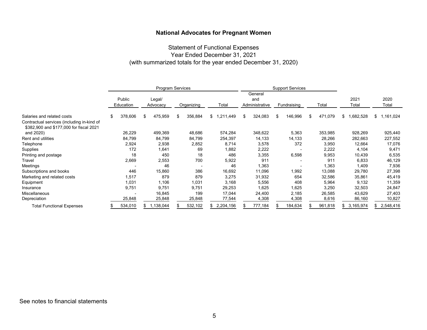# Statement of Functional Expenses Year Ended December 31, 2021 (with summarized totals for the year ended December 31, 2020)

|                                                                                       | <b>Program Services</b> |                     |    | <b>Support Services</b> |     |            |                      |     |                                  |    |             |    |         |                 |                 |
|---------------------------------------------------------------------------------------|-------------------------|---------------------|----|-------------------------|-----|------------|----------------------|-----|----------------------------------|----|-------------|----|---------|-----------------|-----------------|
|                                                                                       |                         | Public<br>Education |    | Legal/<br>Advocacy      |     | Organizing | Total                |     | General<br>and<br>Administrative |    | Fundraising |    | Total   | 2021<br>Total   | 2020<br>Total   |
| Salaries and related costs                                                            | \$                      | 378,606             | ß. | 475,959                 | \$. | 356,884    | \$<br>.211,449<br>-1 | \$. | 324,083                          | \$ | 146,996     | -S | 471,079 | \$<br>1,682,528 | \$<br>1,161,024 |
| Contractual services (including in-kind of<br>\$382,900 and \$177,000 for fiscal 2021 |                         |                     |    |                         |     |            |                      |     |                                  |    |             |    |         |                 |                 |
| and 2020)                                                                             |                         | 26,229              |    | 499,369                 |     | 48,686     | 574,284              |     | 348,622                          |    | 5,363       |    | 353,985 | 928,269         | 925,440         |
| Rent and utilities                                                                    |                         | 84,799              |    | 84,799                  |     | 84,799     | 254,397              |     | 14,133                           |    | 14,133      |    | 28,266  | 282,663         | 227,552         |
| Telephone                                                                             |                         | 2,924               |    | 2,938                   |     | 2,852      | 8,714                |     | 3,578                            |    | 372         |    | 3,950   | 12,664          | 17,076          |
| <b>Supplies</b>                                                                       |                         | 172                 |    | 1,641                   |     | 69         | 1,882                |     | 2,222                            |    |             |    | 2,222   | 4,104           | 9,471           |
| Printing and postage                                                                  |                         | 18                  |    | 450                     |     | 18         | 486                  |     | 3,355                            |    | 6,598       |    | 9,953   | 10,439          | 6,535           |
| Travel                                                                                |                         | 2,669               |    | 2,553                   |     | 700        | 5,922                |     | 911                              |    |             |    | 911     | 6,833           | 46,129          |
| Meetings                                                                              |                         |                     |    | 46                      |     |            | 46                   |     | 1,363                            |    |             |    | 1,363   | 1,409           | 7,936           |
| Subscriptions and books                                                               |                         | 446                 |    | 15,860                  |     | 386        | 16,692               |     | 11,096                           |    | 1,992       |    | 13,088  | 29,780          | 27,398          |
| Marketing and related costs                                                           |                         | 1,517               |    | 879                     |     | 879        | 3,275                |     | 31,932                           |    | 654         |    | 32,586  | 35,861          | 45,419          |
| Equipment                                                                             |                         | 1,031               |    | 1,106                   |     | 1,031      | 3,168                |     | 5,556                            |    | 408         |    | 5,964   | 9,132           | 11,359          |
| Insurance                                                                             |                         | 9,751               |    | 9,751                   |     | 9,751      | 29,253               |     | 1,625                            |    | 1,625       |    | 3,250   | 32,503          | 24,847          |
| <b>Miscellaneous</b>                                                                  |                         |                     |    | 16,845                  |     | 199        | 17,044               |     | 24,400                           |    | 2,185       |    | 26,585  | 43,629          | 27,403          |
| Depreciation                                                                          |                         | 25,848              |    | 25,848                  |     | 25,848     | 77,544               |     | 4,308                            |    | 4,308       |    | 8,616   | 86,160          | 10,827          |
| <b>Total Functional Expenses</b>                                                      |                         | 534,010             |    | 1,138,044               |     | 532,102    | 2,204,156            |     | 777,184                          |    | 184,634     |    | 961,818 | \$<br>3,165,974 | 2,548,416       |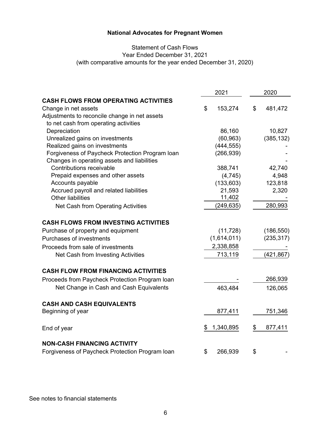# Statement of Cash Flows Year Ended December 31, 2021 (with comparative amounts for the year ended December 31, 2020)

|                                                 | 2021 |             | 2020          |  |
|-------------------------------------------------|------|-------------|---------------|--|
| <b>CASH FLOWS FROM OPERATING ACTIVITIES</b>     |      |             |               |  |
| Change in net assets                            | \$   | 153,274     | \$<br>481,472 |  |
| Adjustments to reconcile change in net assets   |      |             |               |  |
| to net cash from operating activities           |      |             |               |  |
| Depreciation                                    |      | 86,160      | 10,827        |  |
| Unrealized gains on investments                 |      | (60, 963)   | (385, 132)    |  |
| Realized gains on investments                   |      | (444, 555)  |               |  |
| Forgiveness of Paycheck Protection Program Ioan |      | (266, 939)  |               |  |
| Changes in operating assets and liabilities     |      |             |               |  |
| Contributions receivable                        |      | 388,741     | 42,740        |  |
| Prepaid expenses and other assets               |      | (4,745)     | 4,948         |  |
| Accounts payable                                |      | (133, 603)  | 123,818       |  |
| Accrued payroll and related liabilities         |      | 21,593      | 2,320         |  |
| <b>Other liabilities</b>                        |      | 11,402      |               |  |
| Net Cash from Operating Activities              |      | (249, 635)  | 280,993       |  |
| <b>CASH FLOWS FROM INVESTING ACTIVITIES</b>     |      |             |               |  |
| Purchase of property and equipment              |      | (11, 728)   | (186, 550)    |  |
| Purchases of investments                        |      | (1,614,011) | (235, 317)    |  |
| Proceeds from sale of investments               |      | 2,338,858   |               |  |
|                                                 |      |             |               |  |
| Net Cash from Investing Activities              |      | 713,119     | (421, 867)    |  |
| <b>CASH FLOW FROM FINANCING ACTIVITIES</b>      |      |             |               |  |
| Proceeds from Paycheck Protection Program Ioan  |      |             | 266,939       |  |
| Net Change in Cash and Cash Equivalents         |      | 463,484     | 126,065       |  |
| <b>CASH AND CASH EQUIVALENTS</b>                |      |             |               |  |
| Beginning of year                               |      | 877,411     | 751,346       |  |
| End of year                                     | \$   | 1,340,895   | \$<br>877,411 |  |
| <b>NON-CASH FINANCING ACTIVITY</b>              |      |             |               |  |
| Forgiveness of Paycheck Protection Program Ioan | \$   | 266,939     | \$            |  |

See notes to financial statements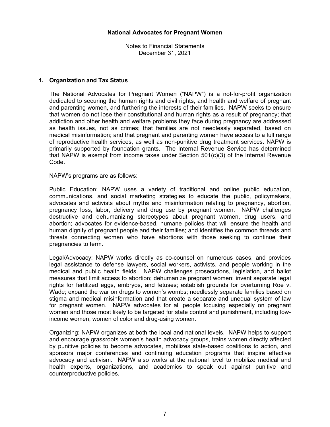Notes to Financial Statements December 31, 2021

## **1. Organization and Tax Status**

The National Advocates for Pregnant Women ("NAPW") is a not-for-profit organization dedicated to securing the human rights and civil rights, and health and welfare of pregnant and parenting women, and furthering the interests of their families. NAPW seeks to ensure that women do not lose their constitutional and human rights as a result of pregnancy; that addiction and other health and welfare problems they face during pregnancy are addressed as health issues, not as crimes; that families are not needlessly separated, based on medical misinformation; and that pregnant and parenting women have access to a full range of reproductive health services, as well as non-punitive drug treatment services. NAPW is primarily supported by foundation grants. The Internal Revenue Service has determined that NAPW is exempt from income taxes under Section 501(c)(3) of the Internal Revenue Code.

NAPW's programs are as follows:

Public Education: NAPW uses a variety of traditional and online public education, communications, and social marketing strategies to educate the public, policymakers, advocates and activists about myths and misinformation relating to pregnancy, abortion, pregnancy loss, labor, delivery and drug use by pregnant women. NAPW challenges destructive and dehumanizing stereotypes about pregnant women, drug users, and abortion; advocates for evidence-based, humane policies that will ensure the health and human dignity of pregnant people and their families; and identifies the common threads and threats connecting women who have abortions with those seeking to continue their pregnancies to term.

Legal/Advocacy: NAPW works directly as co-counsel on numerous cases, and provides legal assistance to defense lawyers, social workers, activists, and people working in the medical and public health fields. NAPW challenges prosecutions, legislation, and ballot measures that limit access to abortion; dehumanize pregnant women; invent separate legal rights for fertilized eggs, embryos, and fetuses; establish grounds for overturning Roe v. Wade; expand the war on drugs to women's wombs; needlessly separate families based on stigma and medical misinformation and that create a separate and unequal system of law for pregnant women. NAPW advocates for all people focusing especially on pregnant women and those most likely to be targeted for state control and punishment, including lowincome women, women of color and drug-using women.

Organizing: NAPW organizes at both the local and national levels. NAPW helps to support and encourage grassroots women's health advocacy groups, trains women directly affected by punitive policies to become advocates, mobilizes state-based coalitions to action, and sponsors major conferences and continuing education programs that inspire effective advocacy and activism. NAPW also works at the national level to mobilize medical and health experts, organizations, and academics to speak out against punitive and counterproductive policies.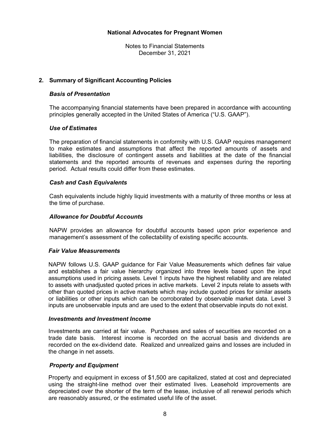Notes to Financial Statements December 31, 2021

## **2. Summary of Significant Accounting Policies**

#### *Basis of Presentation*

The accompanying financial statements have been prepared in accordance with accounting principles generally accepted in the United States of America ("U.S. GAAP").

#### *Use of Estimates*

The preparation of financial statements in conformity with U.S. GAAP requires management to make estimates and assumptions that affect the reported amounts of assets and liabilities, the disclosure of contingent assets and liabilities at the date of the financial statements and the reported amounts of revenues and expenses during the reporting period. Actual results could differ from these estimates.

#### *Cash and Cash Equivalents*

Cash equivalents include highly liquid investments with a maturity of three months or less at the time of purchase.

#### *Allowance for Doubtful Accounts*

NAPW provides an allowance for doubtful accounts based upon prior experience and management's assessment of the collectability of existing specific accounts.

#### *Fair Value Measurements*

NAPW follows U.S. GAAP guidance for Fair Value Measurements which defines fair value and establishes a fair value hierarchy organized into three levels based upon the input assumptions used in pricing assets. Level 1 inputs have the highest reliability and are related to assets with unadjusted quoted prices in active markets. Level 2 inputs relate to assets with other than quoted prices in active markets which may include quoted prices for similar assets or liabilities or other inputs which can be corroborated by observable market data. Level 3 inputs are unobservable inputs and are used to the extent that observable inputs do not exist.

#### *Investments and Investment Income*

Investments are carried at fair value. Purchases and sales of securities are recorded on a trade date basis. Interest income is recorded on the accrual basis and dividends are recorded on the ex-dividend date. Realized and unrealized gains and losses are included in the change in net assets.

#### *Property and Equipment*

Property and equipment in excess of \$1,500 are capitalized, stated at cost and depreciated using the straight-line method over their estimated lives. Leasehold improvements are depreciated over the shorter of the term of the lease, inclusive of all renewal periods which are reasonably assured, or the estimated useful life of the asset.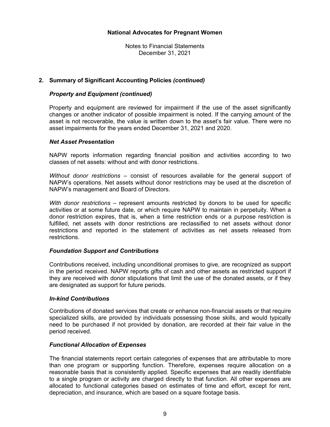Notes to Financial Statements December 31, 2021

## **2. Summary of Significant Accounting Policies** *(continued)*

## *Property and Equipment (continued)*

Property and equipment are reviewed for impairment if the use of the asset significantly changes or another indicator of possible impairment is noted. If the carrying amount of the asset is not recoverable, the value is written down to the asset's fair value. There were no asset impairments for the years ended December 31, 2021 and 2020.

#### *Net Asset Presentation*

NAPW reports information regarding financial position and activities according to two classes of net assets: without and with donor restrictions.

*Without donor restrictions* – consist of resources available for the general support of NAPW's operations. Net assets without donor restrictions may be used at the discretion of NAPW's management and Board of Directors.

*With donor restrictions* – represent amounts restricted by donors to be used for specific activities or at some future date, or which require NAPW to maintain in perpetuity. When a donor restriction expires, that is, when a time restriction ends or a purpose restriction is fulfilled, net assets with donor restrictions are reclassified to net assets without donor restrictions and reported in the statement of activities as net assets released from restrictions.

#### *Foundation Support and Contributions*

Contributions received, including unconditional promises to give, are recognized as support in the period received. NAPW reports gifts of cash and other assets as restricted support if they are received with donor stipulations that limit the use of the donated assets, or if they are designated as support for future periods.

#### *In-kind Contributions*

Contributions of donated services that create or enhance non-financial assets or that require specialized skills, are provided by individuals possessing those skills, and would typically need to be purchased if not provided by donation, are recorded at their fair value in the period received.

#### *Functional Allocation of Expenses*

The financial statements report certain categories of expenses that are attributable to more than one program or supporting function. Therefore, expenses require allocation on a reasonable basis that is consistently applied. Specific expenses that are readily identifiable to a single program or activity are charged directly to that function. All other expenses are allocated to functional categories based on estimates of time and effort, except for rent, depreciation, and insurance, which are based on a square footage basis.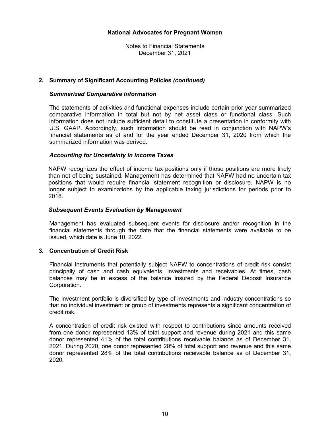Notes to Financial Statements December 31, 2021

## **2. Summary of Significant Accounting Policies** *(continued)*

#### *Summarized Comparative Information*

The statements of activities and functional expenses include certain prior year summarized comparative information in total but not by net asset class or functional class. Such information does not include sufficient detail to constitute a presentation in conformity with U.S. GAAP. Accordingly, such information should be read in conjunction with NAPW's financial statements as of and for the year ended December 31, 2020 from which the summarized information was derived.

#### *Accounting for Uncertainty in Income Taxes*

NAPW recognizes the effect of income tax positions only if those positions are more likely than not of being sustained. Management has determined that NAPW had no uncertain tax positions that would require financial statement recognition or disclosure. NAPW is no longer subject to examinations by the applicable taxing jurisdictions for periods prior to 2018.

#### *Subsequent Events Evaluation by Management*

Management has evaluated subsequent events for disclosure and/or recognition in the financial statements through the date that the financial statements were available to be issued, which date is June 10, 2022.

#### **3. Concentration of Credit Risk**

Financial instruments that potentially subject NAPW to concentrations of credit risk consist principally of cash and cash equivalents, investments and receivables. At times, cash balances may be in excess of the balance insured by the Federal Deposit Insurance Corporation.

The investment portfolio is diversified by type of investments and industry concentrations so that no individual investment or group of investments represents a significant concentration of credit risk.

A concentration of credit risk existed with respect to contributions since amounts received from one donor represented 13% of total support and revenue during 2021 and this same donor represented 41% of the total contributions receivable balance as of December 31, 2021. During 2020, one donor represented 20% of total support and revenue and this same donor represented 28% of the total contributions receivable balance as of December 31, 2020.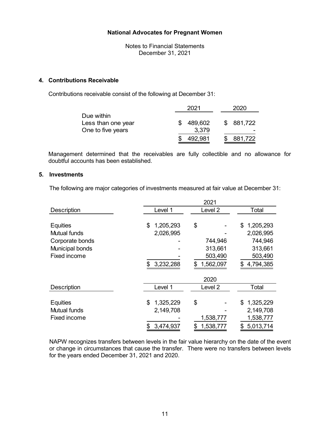Notes to Financial Statements December 31, 2021

## **4. Contributions Receivable**

Contributions receivable consist of the following at December 31:

|                    | 2021    | 2020      |
|--------------------|---------|-----------|
| Due within         |         |           |
| Less than one year | 489,602 | \$881,722 |
| One to five years  | 3,379   |           |
|                    | 492,981 | \$881,722 |

Management determined that the receivables are fully collectible and no allowance for doubtful accounts has been established.

# **5. Investments**

The following are major categories of investments measured at fair value at December 31:

|                     |                 | 2021               |                 |
|---------------------|-----------------|--------------------|-----------------|
| <b>Description</b>  | Level 1         | Level <sub>2</sub> | Total           |
|                     |                 |                    |                 |
| <b>Equities</b>     | 1,205,293<br>\$ | \$                 | \$<br>1,205,293 |
| <b>Mutual funds</b> | 2,026,995       |                    | 2,026,995       |
| Corporate bonds     |                 | 744,946            | 744,946         |
| Municipal bonds     |                 | 313,661            | 313,661         |
| Fixed income        |                 | 503,490            | 503,490         |
|                     | 3,232,288       | 1,562,097<br>\$    | 4,794,385       |
|                     |                 | 2020               |                 |
| <b>Description</b>  | Level 1         | Level <sub>2</sub> | Total           |
|                     |                 |                    |                 |
| <b>Equities</b>     | 1,325,229<br>\$ | \$                 | 1,325,229<br>\$ |
| Mutual funds        | 2,149,708       |                    | 2,149,708       |
| Fixed income        |                 | 1,538,777          | 1,538,777       |
|                     | 3,474,937<br>\$ | 1,538,777<br>\$    | \$5,013,714     |

NAPW recognizes transfers between levels in the fair value hierarchy on the date of the event or change in circumstances that cause the transfer. There were no transfers between levels for the years ended December 31, 2021 and 2020.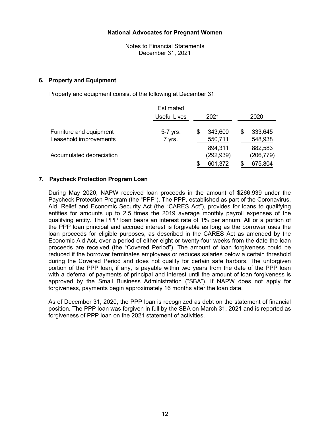Notes to Financial Statements December 31, 2021

## **6. Property and Equipment**

Property and equipment consist of the following at December 31:

|                          | <b>Estimated</b>    |   |                      |                      |
|--------------------------|---------------------|---|----------------------|----------------------|
|                          | <b>Useful Lives</b> |   | 2021                 | 2020                 |
| Furniture and equipment  | 5-7 yrs.            | S | 343,600              | \$<br>333,645        |
| Leasehold improvements   | 7 yrs.              |   | 550,711              | 548,938              |
| Accumulated depreciation |                     |   | 894,311<br>(292,939) | 882,583<br>(206,779) |
|                          |                     |   | 601,372              | 675,804              |

## **7. Paycheck Protection Program Loan**

During May 2020, NAPW received loan proceeds in the amount of \$266,939 under the Paycheck Protection Program (the "PPP"). The PPP, established as part of the Coronavirus, Aid, Relief and Economic Security Act (the "CARES Act"), provides for loans to qualifying entities for amounts up to 2.5 times the 2019 average monthly payroll expenses of the qualifying entity. The PPP loan bears an interest rate of 1% per annum. All or a portion of the PPP loan principal and accrued interest is forgivable as long as the borrower uses the loan proceeds for eligible purposes, as described in the CARES Act as amended by the Economic Aid Act, over a period of either eight or twenty-four weeks from the date the loan proceeds are received (the "Covered Period"). The amount of loan forgiveness could be reduced if the borrower terminates employees or reduces salaries below a certain threshold during the Covered Period and does not qualify for certain safe harbors. The unforgiven portion of the PPP loan, if any, is payable within two years from the date of the PPP loan with a deferral of payments of principal and interest until the amount of loan forgiveness is approved by the Small Business Administration ("SBA"). If NAPW does not apply for forgiveness, payments begin approximately 16 months after the loan date.

As of December 31, 2020, the PPP loan is recognized as debt on the statement of financial position. The PPP loan was forgiven in full by the SBA on March 31, 2021 and is reported as forgiveness of PPP loan on the 2021 statement of activities.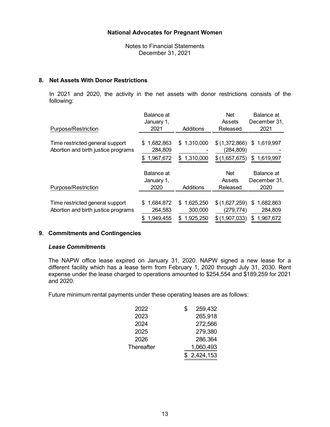Notes to Financial Statements December 31, 2021

## **8. Net Assets With Donor Restrictions**

 In 2021 and 2020, the activity in the net assets with donor restrictions consists of the following:

|                                     | Balance at     |                  | <b>Net</b>    | Balance at      |
|-------------------------------------|----------------|------------------|---------------|-----------------|
|                                     | January 1,     |                  | Assets        | December 31,    |
| Purpose/Restriction                 | 2021           | Additions        | Released      | 2021            |
|                                     |                |                  |               |                 |
| Time restricted general support     | 1,682,863<br>S | \$1,310,000      | \$(1,372,866) | 1,619,997<br>\$ |
| Abortion and birth justice programs | 284,809        |                  | (284,809)     |                 |
|                                     | 1,967,672<br>S | \$1,310,000      | \$(1,657,675) | \$1,619,997     |
|                                     |                |                  |               |                 |
|                                     | Balance at     |                  | <b>Net</b>    | Balance at      |
|                                     | January 1,     |                  | Assets        | December 31,    |
| Purpose/Restriction                 | 2020           | Additions        | Released      | 2020            |
|                                     |                |                  |               |                 |
| Time restricted general support     | 1,684,872<br>S | 1,625,250<br>\$. | \$(1,627,259) | 1,682,863<br>S  |
| Abortion and birth justice programs | 264,583        | 300,000          | (279,774)     | 284,809         |
|                                     | 1,949,455<br>S | 1,925,250<br>\$. | \$(1,907,033) | 1,967,672<br>S  |

# **9. Commitments and Contingencies**

## *Lease Commitments*

The NAPW office lease expired on January 31, 2020. NAPW signed a new lease for a different facility which has a lease term from February 1, 2020 through July 31, 2030. Rent expense under the lease charged to operations amounted to \$254,554 and \$189,259 for 2021 and 2020.

Future minimum rental payments under these operating leases are as follows:

| 2022       | 259,432<br>\$ |
|------------|---------------|
| 2023       | 265,918       |
| 2024       | 272,566       |
| 2025       | 279,380       |
| 2026       | 286,364       |
| Thereafter | 1,060,493     |
|            | \$2,424,153   |